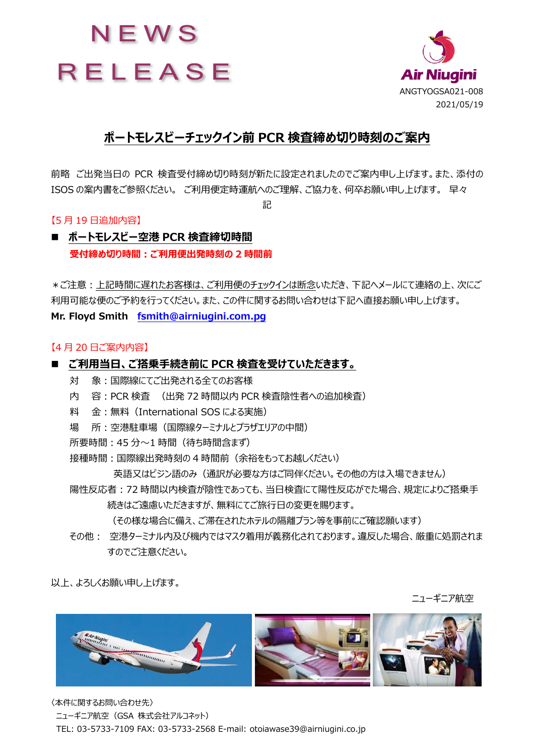



#### **ポートモレスビーチェックイン前 PCR 検査締め切り時刻のご案内**

前略 ご出発当⽇の PCR 検査受付締め切り時刻が新たに設定されましたのでご案内申し上げます。また、添付の ISOS の案内書をご参照ください。 ご利用便定時運航へのご理解、ご協力を、何卒お願い申し上げます。 早々

記

#### 【5 ⽉ 19 ⽇追加内容】

**■ ポートモレスビー空港 PCR 検査締切時間** 受付締め切り時間: ご利用便出発時刻の 2 時間前

\*ご注意:上記時間に遅れたお客様は、ご利用便のチェックインは断念いただき、下記ヘメールにて連絡の上、次にご 利用可能な便のご予約を行ってください。また、この件に関するお問い合わせは下記へ直接お願い申し上げます。 **Mr. Floyd Smith fsmith@airniugini.com.pg**

#### 【4 ⽉ 20 ⽇ご案内内容】

#### ■ ご利用当日、ご搭乗手続き前に PCR 検査を受けていただきます。

- 対 象:国際線にてご出発される全てのお客様
- 内 容: PCR 検査 (出発 72 時間以内 PCR 検査陰性者への追加検査)
- 料 金:無料 (International SOS による実施)
- 場 所:空港駐車場 (国際線ターミナルとプラザエリアの中間)
- 所要時間: 45 分〜1 時間 (待ち時間含まず)
- 接種時間:国際線出発時刻の4時間前(余裕をもってお越しださい)

英語又はピジン語のみ(通訳が必要な方はご同伴ください。その他の方は入場できません)

陽性反応者:72 時間以内検査が陰性であっても、当日検査にて陽性反応がでた場合、規定によりご搭乗手 続きはご遠慮いただきますが、無料にてご旅行日の変更を賜ります。

(その様な場合に備え、ご滞在されたホテルの隔離プラン等を事前にご確認願います)

その他: 空港ターミナル内及び機内ではマスク着用が義務化されております。違反した場合、厳重に処罰されま すのでご注意ください。

以上、よろしくお願い申し上げます。

ニューギニア航空



〈本件に関するお問い合わせ先〉 ニューギニア航空 (GSA 株式会社アルコネット) TEL: 03-5733-7109 FAX: 03-5733-2568 E-mail: otoiawase39@airniugini.co.jp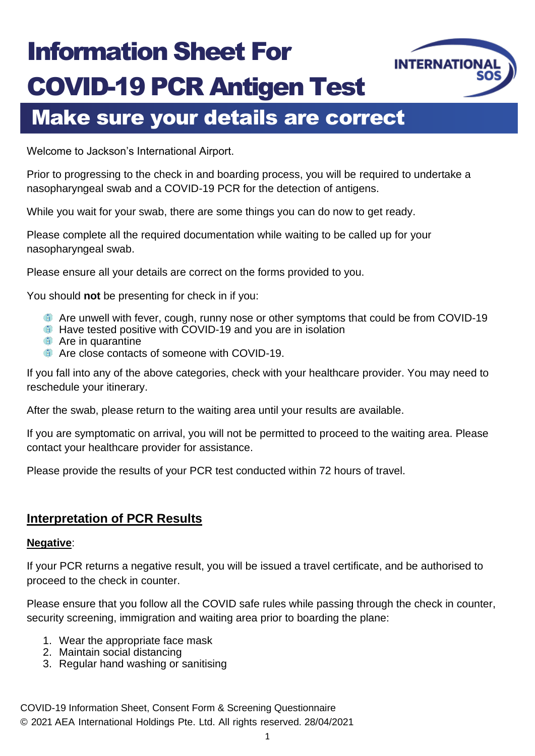## Information Sheet For COVID-19 PCR Antigen Test



## Make sure your details are correct

Welcome to Jackson's International Airport.

Prior to progressing to the check in and boarding process, you will be required to undertake a nasopharyngeal swab and a COVID-19 PCR for the detection of antigens.

While you wait for your swab, there are some things you can do now to get ready.

Please complete all the required documentation while waiting to be called up for your nasopharyngeal swab.

Please ensure all your details are correct on the forms provided to you.

You should **not** be presenting for check in if you:

- **Are unwell with fever, cough, runny nose or other symptoms that could be from COVID-19**
- **C** Have tested positive with COVID-19 and you are in isolation
- **Are in quarantine**
- Are close contacts of someone with COVID-19.

If you fall into any of the above categories, check with your healthcare provider. You may need to reschedule your itinerary.

After the swab, please return to the waiting area until your results are available.

If you are symptomatic on arrival, you will not be permitted to proceed to the waiting area. Please contact your healthcare provider for assistance.

Please provide the results of your PCR test conducted within 72 hours of travel.

#### **Interpretation of PCR Results**

#### **Negative**:

If your PCR returns a negative result, you will be issued a travel certificate, and be authorised to proceed to the check in counter.

Please ensure that you follow all the COVID safe rules while passing through the check in counter, security screening, immigration and waiting area prior to boarding the plane:

- 1. Wear the appropriate face mask
- 2. Maintain social distancing
- 3. Regular hand washing or sanitising

COVID-19 Information Sheet, Consent Form & Screening Questionnaire © 2021 AEA International Holdings Pte. Ltd. All rights reserved. 28/04/2021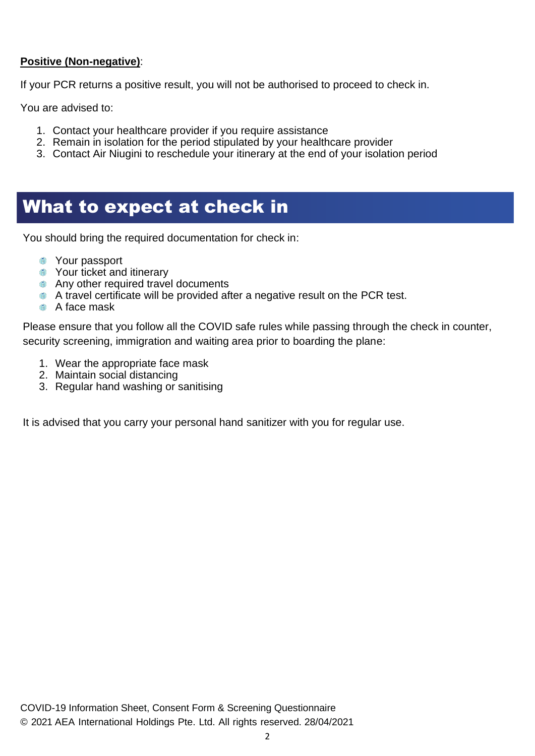#### **Positive (Non-negative)**:

If your PCR returns a positive result, you will not be authorised to proceed to check in.

You are advised to:

- 1. Contact your healthcare provider if you require assistance
- 2. Remain in isolation for the period stipulated by your healthcare provider
- 3. Contact Air Niugini to reschedule your itinerary at the end of your isolation period

### What to expect at check in

You should bring the required documentation for check in:

- **The Your passport**
- **The Your ticket and itinerary**
- **Any other required travel documents**
- **A** A travel certificate will be provided after a negative result on the PCR test.
- **A** face mask

Please ensure that you follow all the COVID safe rules while passing through the check in counter, security screening, immigration and waiting area prior to boarding the plane:

- 1. Wear the appropriate face mask
- 2. Maintain social distancing
- 3. Regular hand washing or sanitising

It is advised that you carry your personal hand sanitizer with you for regular use.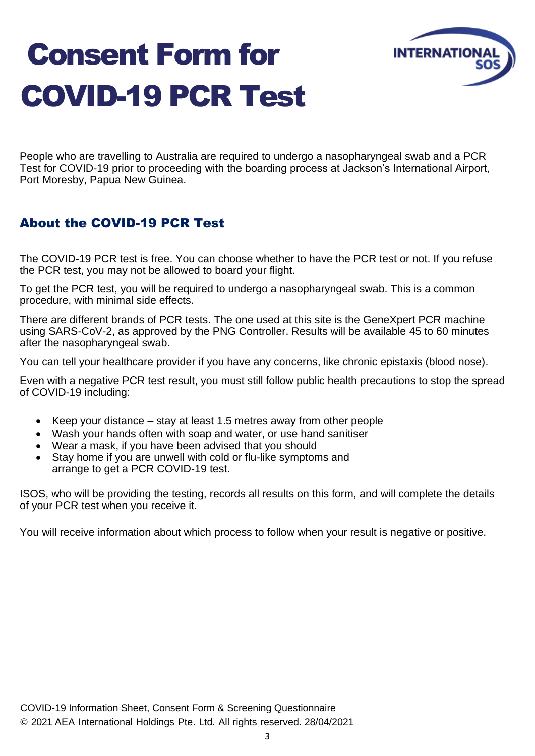# Consent Form for COVID-19 PCR Test



People who are travelling to Australia are required to undergo a nasopharyngeal swab and a PCR Test for COVID-19 prior to proceeding with the boarding process at Jackson's International Airport, Port Moresby, Papua New Guinea.

#### About the COVID-19 PCR Test

The COVID-19 PCR test is free. You can choose whether to have the PCR test or not. If you refuse the PCR test, you may not be allowed to board your flight.

To get the PCR test, you will be required to undergo a nasopharyngeal swab. This is a common procedure, with minimal side effects.

There are different brands of PCR tests. The one used at this site is the GeneXpert PCR machine using SARS-CoV-2, as approved by the PNG Controller. Results will be available 45 to 60 minutes after the nasopharyngeal swab.

You can tell your healthcare provider if you have any concerns, like chronic epistaxis (blood nose).

Even with a negative PCR test result, you must still follow public health precautions to stop the spread of COVID-19 including:

- Keep your distance stay at least 1.5 metres away from other people
- Wash your hands often with soap and water, or use hand sanitiser
- Wear a mask, if you have been advised that you should
- Stay home if you are unwell with cold or flu-like symptoms and arrange to get a PCR COVID-19 test.

ISOS, who will be providing the testing, records all results on this form, and will complete the details of your PCR test when you receive it.

You will receive information about which process to follow when your result is negative or positive.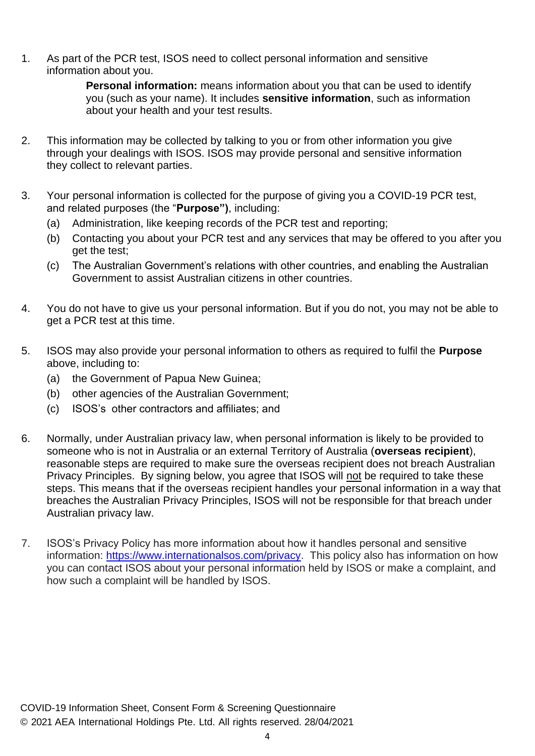1. As part of the PCR test, ISOS need to collect personal information and sensitive information about you.

> **Personal information:** means information about you that can be used to identify you (such as your name). It includes **sensitive information**, such as information about your health and your test results.

- 2. This information may be collected by talking to you or from other information you give through your dealings with ISOS. ISOS may provide personal and sensitive information they collect to relevant parties.
- 3. Your personal information is collected for the purpose of giving you a COVID-19 PCR test, and related purposes (the "**Purpose")**, including:
	- (a) Administration, like keeping records of the PCR test and reporting;
	- (b) Contacting you about your PCR test and any services that may be offered to you after you get the test;
	- (c) The Australian Government's relations with other countries, and enabling the Australian Government to assist Australian citizens in other countries.
- 4. You do not have to give us your personal information. But if you do not, you may not be able to get a PCR test at this time.
- 5. ISOS may also provide your personal information to others as required to fulfil the **Purpose** above, including to:
	- (a) the Government of Papua New Guinea;
	- (b) other agencies of the Australian Government;
	- (c) ISOS's other contractors and affiliates; and
- 6. Normally, under Australian privacy law, when personal information is likely to be provided to someone who is not in Australia or an external Territory of Australia (**overseas recipient**), reasonable steps are required to make sure the overseas recipient does not breach Australian Privacy Principles. By signing below, you agree that ISOS will not be required to take these steps. This means that if the overseas recipient handles your personal information in a way that breaches the Australian Privacy Principles, ISOS will not be responsible for that breach under Australian privacy law.
- 7. ISOS's Privacy Policy has more information about how it handles personal and sensitive information: [https://www.internationalsos.com/privacy.](https://www.internationalsos.com/privacy) This policy also has information on how you can contact ISOS about your personal information held by ISOS or make a complaint, and how such a complaint will be handled by ISOS.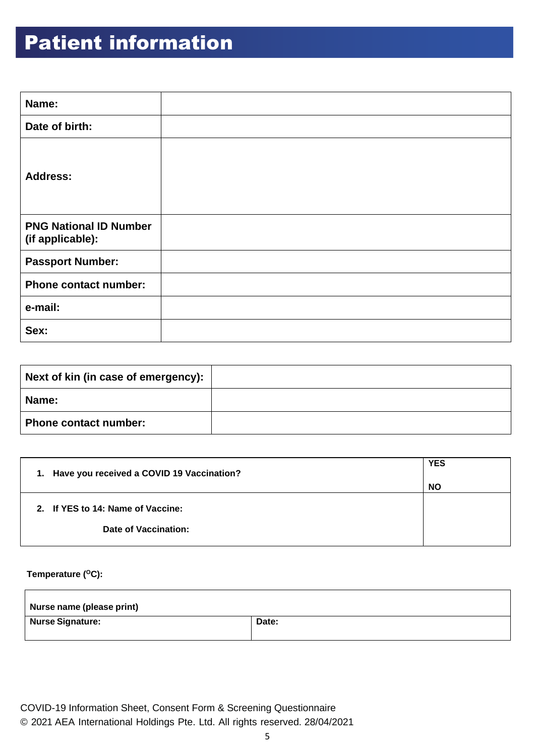## Patient information

| Name:                                             |  |
|---------------------------------------------------|--|
| Date of birth:                                    |  |
| <b>Address:</b>                                   |  |
| <b>PNG National ID Number</b><br>(if applicable): |  |
| <b>Passport Number:</b>                           |  |
| <b>Phone contact number:</b>                      |  |
| e-mail:                                           |  |
| Sex:                                              |  |

| Next of kin (in case of emergency): |  |
|-------------------------------------|--|
| <b>Name:</b>                        |  |
| <b>Phone contact number:</b>        |  |

| 1. Have you received a COVID 19 Vaccination? | <b>YES</b><br><b>NO</b> |
|----------------------------------------------|-------------------------|
| 2. If YES to 14: Name of Vaccine:            |                         |
| Date of Vaccination:                         |                         |

#### **Temperature (<sup>O</sup>C):**

| Nurse name (please print) |       |
|---------------------------|-------|
| <b>Nurse Signature:</b>   | Date: |

COVID-19 Information Sheet, Consent Form & Screening Questionnaire © 2021 AEA International Holdings Pte. Ltd. All rights reserved. 28/04/2021